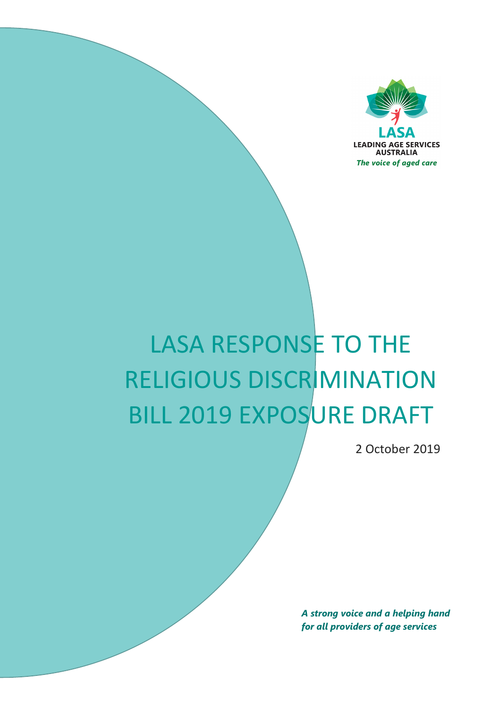

# LASA RESPONSE TO THE RELIGIOUS DISCRIMINATION BILL 2019 EXPOSURE DRAFT

2 October 2019

*A strong voice and a helping hand for all providers of age services*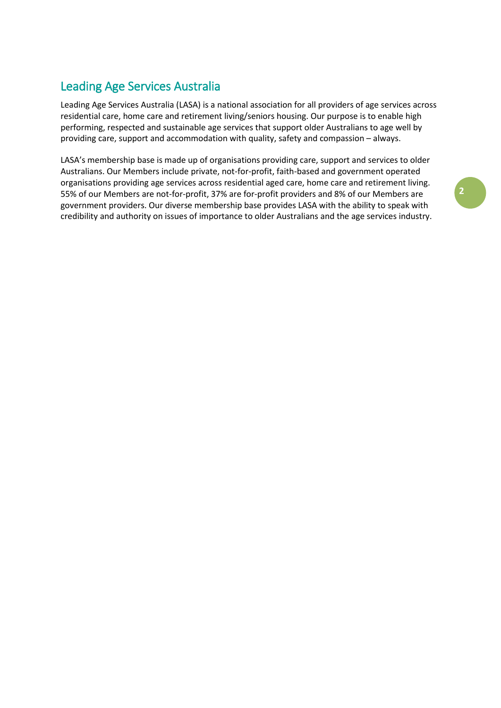# Leading Age Services Australia

Leading Age Services Australia (LASA) is a national association for all providers of age services across residential care, home care and retirement living/seniors housing. Our purpose is to enable high performing, respected and sustainable age services that support older Australians to age well by providing care, support and accommodation with quality, safety and compassion – always.

LASA's membership base is made up of organisations providing care, support and services to older Australians. Our Members include private, not-for-profit, faith-based and government operated organisations providing age services across residential aged care, home care and retirement living. 55% of our Members are not-for-profit, 37% are for-profit providers and 8% of our Members are government providers. Our diverse membership base provides LASA with the ability to speak with credibility and authority on issues of importance to older Australians and the age services industry.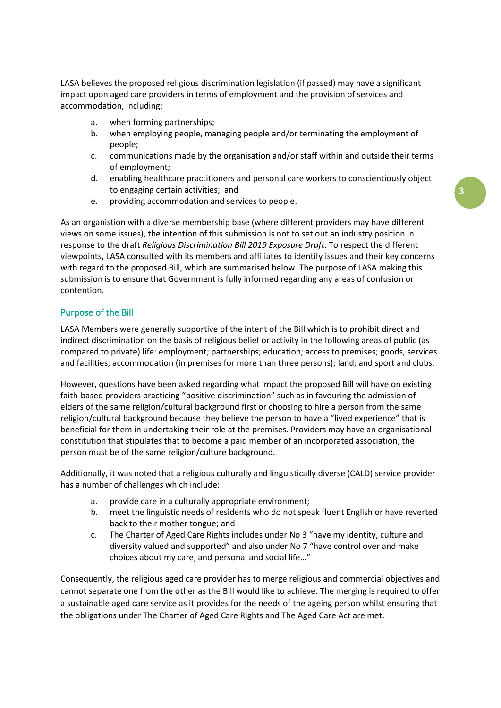LASA believes the proposed religious discrimination legislation (if passed) may have a significant impact upon aged care providers in terms of employment and the provision of services and accommodation, including:

- a. when forming partnerships;
- b. when employing people, managing people and/or terminating the employment of people;
- c. communications made by the organisation and/or staff within and outside their terms of employment;
- d. enabling healthcare practitioners and personal care workers to conscientiously object to engaging certain activities; and
- e. providing accommodation and services to people.

As an organistion with a diverse membership base (where different providers may have different views on some issues), the intention of this submission is not to set out an industry position in response to the draft *Religious Discrimination Bill 2019 Exposure Draft*. To respect the different viewpoints, LASA consulted with its members and affiliates to identify issues and their key concerns with regard to the proposed Bill, which are summarised below. The purpose of LASA making this submission is to ensure that Government is fully informed regarding any areas of confusion or contention.

### Purpose of the Bill

LASA Members were generally supportive of the intent of the Bill which is to prohibit direct and indirect discrimination on the basis of religious belief or activity in the following areas of public (as compared to private) life: employment; partnerships; education; access to premises; goods, services and facilities; accommodation (in premises for more than three persons); land; and sport and clubs.

However, questions have been asked regarding what impact the proposed Bill will have on existing faith-based providers practicing "positive discrimination" such as in favouring the admission of elders of the same religion/cultural background first or choosing to hire a person from the same religion/cultural background because they believe the person to have a "lived experience" that is beneficial for them in undertaking their role at the premises. Providers may have an organisational constitution that stipulates that to become a paid member of an incorporated association, the person must be of the same religion/culture background.

Additionally, it was noted that a religious culturally and linguistically diverse (CALD) service provider has a number of challenges which include:

- a. provide care in a culturally appropriate environment;
- b. meet the linguistic needs of residents who do not speak fluent English or have reverted back to their mother tongue; and
- c. The Charter of Aged Care Rights includes under No 3 "have my identity, culture and diversity valued and supported" and also under No 7 "have control over and make choices about my care, and personal and social life..."

Consequently, the religious aged care provider has to merge religious and commercial objectives and cannot separate one from the other as the Bill would like to achieve. The merging is required to offer a sustainable aged care service as it provides for the needs of the ageing person whilst ensuring that the obligations under The Charter of Aged Care Rights and The Aged Care Act are met.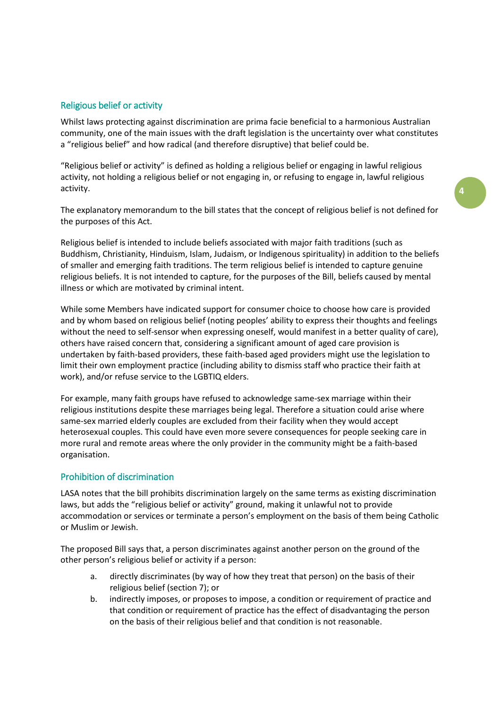# Religious belief or activity

Whilst laws protecting against discrimination are prima facie beneficial to a harmonious Australian community, one of the main issues with the draft legislation is the uncertainty over what constitutes a "religious belief" and how radical (and therefore disruptive) that belief could be.

"Religious belief or activity" is defined as holding a religious belief or engaging in lawful religious activity, not holding a religious belief or not engaging in, or refusing to engage in, lawful religious activity.

The explanatory memorandum to the bill states that the concept of religious belief is not defined for the purposes of this Act.

Religious belief is intended to include beliefs associated with major faith traditions (such as Buddhism, Christianity, Hinduism, Islam, Judaism, or Indigenous spirituality) in addition to the beliefs of smaller and emerging faith traditions. The term religious belief is intended to capture genuine religious beliefs. It is not intended to capture, for the purposes of the Bill, beliefs caused by mental illness or which are motivated by criminal intent.

While some Members have indicated support for consumer choice to choose how care is provided and by whom based on religious belief (noting peoples' ability to express their thoughts and feelings without the need to self-sensor when expressing oneself, would manifest in a better quality of care), others have raised concern that, considering a significant amount of aged care provision is undertaken by faith-based providers, these faith-based aged providers might use the legislation to limit their own employment practice (including ability to dismiss staff who practice their faith at work), and/or refuse service to the LGBTIQ elders. The state of the state of the state of the state of the sta

For example, many faith groups have refused to acknowledge same-sex marriage within their religious institutions despite these marriages being legal. Therefore a situation could arise where same-sex married elderly couples are excluded from their facility when they would accept heterosexual couples. This could have even more severe consequences for people seeking care in more rural and remote areas where the only provider in the community might be a faith-based organisation.

# Prohibition of discrimination

LASA notes that the bill prohibits discrimination largely on the same terms as existing discrimination laws, but adds the "religious belief or activity" ground, making it unlawful not to provide accommodation or services or terminate a person's employment on the basis of them being Catholic or Muslim or Jewish

The proposed Bill says that, a person discriminates against another person on the ground of the other person's religious belief or activity if a person:

- a. directly discriminates (by way of how they treat that person) on the basis of their religious belief (section 7); or
- b. indirectly imposes, or proposes to impose, a condition or requirement of practice and that condition or requirement of practice has the effect of disadvantaging the person on the basis of their religious belief and that condition is not reasonable.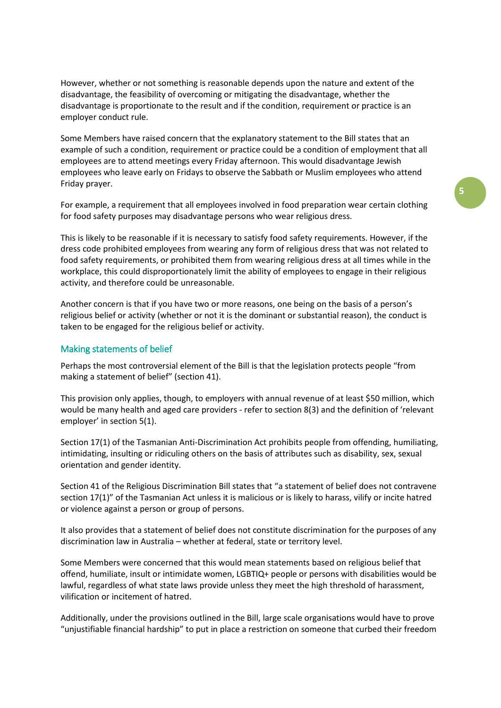However, whether or not something is reasonable depends upon the nature and extent of the disadvantage, the feasibility of overcoming or mitigating the disadvantage, whether the disadvantage is proportionate to the result and if the condition, requirement or practice is an employer conduct rule.

Some Members have raised concern that the explanatory statement to the Bill states that an example of such a condition, requirement or practice could be a condition of employment that all employees are to attend meetings every Friday afternoon. This would disadvantage Jewish employees who leave early on Fridays to observe the Sabbath or Muslim employees who attend Friday prayer.

For example, a requirement that all employees involved in food preparation wear certain clothing for food safety purposes may disadvantage persons who wear religious dress.

This is likely to be reasonable if it is necessary to satisfy food safety requirements. However, if the dress code prohibited employees from wearing any form of religious dress that was not related to food safety requirements, or prohibited them from wearing religious dress at all times while in the workplace, this could disproportionately limit the ability of employees to engage in their religious activity, and therefore could be unreasonable.

Another concern is that if you have two or more reasons, one being on the basis of a person's religious belief or activity (whether or not it is the dominant or substantial reason), the conduct is taken to be engaged for the religious belief or activity.

#### Making statements of belief

Perhaps the most controversial element of the Bill is that the legislation protects people "from making a statement of belief" (section 41).

This provision only applies, though, to employers with annual revenue of at least \$50 million, which would be many health and aged care providers - refer to section 8(3) and the definition of 'relevant employer' in section 5(1).

Section 17(1) of the Tasmanian Anti-Discrimination Act prohibits people from offending, humiliating, intimidating, insulting or ridiculing others on the basis of attributes such as disability, sex, sexual orientation and gender identity.

Section 41 of the Religious Discrimination Bill states that "a statement of belief does not contravene section 17(1)" of the Tasmanian Act unless it is malicious or is likely to harass, vilify or incite hatred or violence against a person or group of persons.

It also provides that a statement of belief does not constitute discrimination for the purposes of any discrimination law in Australia – whether at federal, state or territory level.

Some Members were concerned that this would mean statements based on religious belief that offend, humiliate, insult or intimidate women, LGBTIQ+ people or persons with disabilities would be lawful, regardless of what state laws provide unless they meet the high threshold of harassment, vilification or incitement of hatred.

Additionally, under the provisions outlined in the Bill, large scale organisations would have to prove "unjustifiable financial hardship" to put in place a restriction on someone that curbed their freedom